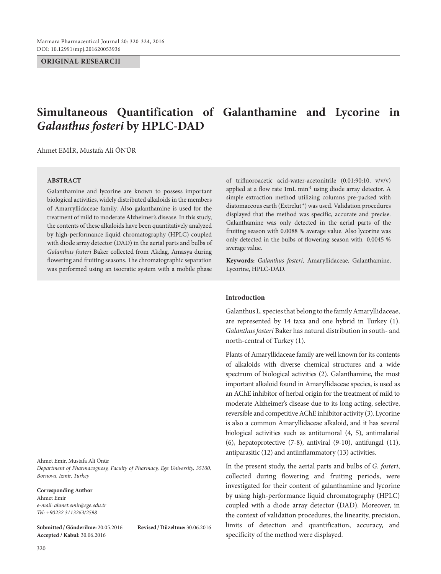### **ORIGINAL RESEARCH**

# **Simultaneous Quantification of Galanthamine and Lycorine in**  *Galanthus fosteri* **by HPLC-DAD**

Ahmet Emir, Mustafa Ali Önür

### **Abstrac t**

Galanthamine and lycorine are known to possess important biological activities, widely distributed alkaloids in the members of Amarryllidaceae family. Also galanthamine is used for the treatment of mild to moderate Alzheimer's disease. In this study, the contents of these alkaloids have been quantitatively analyzed by high-performance liquid chromatography (HPLC) coupled with diode array detector (DAD) in the aerial parts and bulbs of *Galanthus fosteri* Baker collected from Akdag, Amasya during flowering and fruiting seasons. The chromatographic separation was performed using an isocratic system with a mobile phase

Ahmet Emir, Mustafa Ali Önür *Department of Pharmacognosy, Faculty of Pharmacy, Ege University, 35100, Bornova, Izmir, Turkey*

#### **Corresponding Author**

Ahmet Emir *e-mail: ahmet.emir@ege.edu.tr Tel: +90232 3113263/2598*

**Submitted / Gönderilme:** 20.05.2016 **Revised / Düzeltme:** 30.06.2016 **Accepted / Kabul:** 30.06.2016

of trifluoroacetic acid-water-acetonitrile (0.01:90:10, v/v/v) applied at a flow rate 1mL min<sup>-1</sup> using diode array detector. A simple extraction method utilizing columns pre-packed with diatomaceous earth (Extrelut  $^{\circ}$ ) was used. Validation procedures displayed that the method was specific, accurate and precise. Galanthamine was only detected in the aerial parts of the fruiting season with 0.0088 % average value. Also lycorine was only detected in the bulbs of flowering season with 0.0045 % average value.

**Keywords:** *Galanthus fosteri*, Amaryllidaceae, Galanthamine, Lycorine, HPLC-DAD.

### **Introduction**

Galanthus L. species that belong to the family Amaryllidaceae, are represented by 14 taxa and one hybrid in Turkey (1). *Galanthus fosteri* Baker has natural distribution in south- and north-central of Turkey (1).

Plants of Amaryllidaceae family are well known for its contents of alkaloids with diverse chemical structures and a wide spectrum of biological activities (2). Galanthamine, the most important alkaloid found in Amaryllidaceae species, is used as an AChE inhibitor of herbal origin for the treatment of mild to moderate Alzheimer's disease due to its long acting, selective, reversible and competitive AChE inhibitor activity (3). Lycorine is also a common Amaryllidaceae alkaloid, and it has several biological activities such as antitumoral (4, 5), antimalarial (6), hepatoprotective (7-8), antiviral (9-10), antifungal (11), antiparasitic (12) and antiinflammatory (13) activities.

In the present study, the aerial parts and bulbs of *G. fosteri*, collected during flowering and fruiting periods, were investigated for their content of galanthamine and lycorine by using high-performance liquid chromatography (HPLC) coupled with a diode array detector (DAD). Moreover, in the context of validation procedures, the linearity, precision, limits of detection and quantification, accuracy, and specificity of the method were displayed.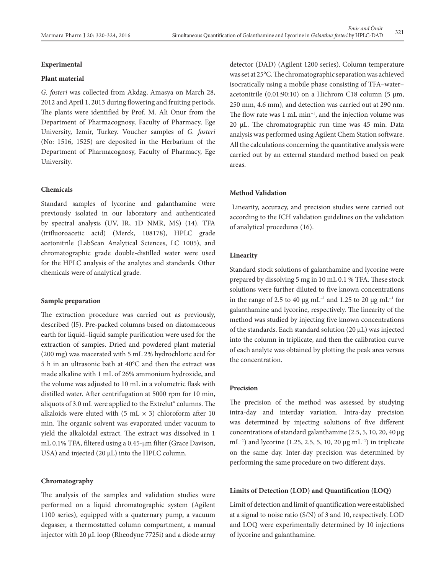### **Experimental**

### **Plant material**

*G. fosteri* was collected from Akdag, Amasya on March 28, 2012 and April 1, 2013 during flowering and fruiting periods. The plants were identified by Prof. M. Ali Onur from the Department of Pharmacognosy, Faculty of Pharmacy, Ege University, Izmir, Turkey. Voucher samples of *G. fosteri* (No: 1516, 1525) are deposited in the Herbarium of the Department of Pharmacognosy, Faculty of Pharmacy, Ege University.

### **Chemicals**

Standard samples of lycorine and galanthamine were previously isolated in our laboratory and authenticated by spectral analysis (UV, IR, 1D NMR, MS) (14). TFA (trifluoroacetic acid) (Merck, 108178), HPLC grade acetonitrile (LabScan Analytical Sciences, LC 1005), and chromatographic grade double-distilled water were used for the HPLC analysis of the analytes and standards. Other chemicals were of analytical grade.

### **Sample preparation**

The extraction procedure was carried out as previously, described (l5). Pre-packed columns based on diatomaceous earth for liquid–liquid sample purification were used for the extraction of samples. Dried and powdered plant material (200 mg) was macerated with 5 mL 2% hydrochloric acid for 5 h in an ultrasonic bath at 40°C and then the extract was made alkaline with 1 mL of 26% ammonium hydroxide, and the volume was adjusted to 10 mL in a volumetric flask with distilled water. After centrifugation at 5000 rpm for 10 min, aliquots of 3.0 mL were applied to the Extrelut® columns. The alkaloids were eluted with  $(5 \text{ mL} \times 3)$  chloroform after 10 min. The organic solvent was evaporated under vacuum to yield the alkaloidal extract. The extract was dissolved in 1 mL 0.1% TFA, filtered using a 0.45-μm filter (Grace Davison, USA) and injected (20 μL) into the HPLC column.

### **Chromatography**

The analysis of the samples and validation studies were performed on a liquid chromatographic system (Agilent 1100 series), equipped with a quaternary pump, a vacuum degasser, a thermostatted column compartment, a manual injector with 20 μL loop (Rheodyne 7725i) and a diode array detector (DAD) (Agilent 1200 series). Column temperature was set at 25°C. The chromatographic separation was achieved isocratically using a mobile phase consisting of TFA–water– acetonitrile  $(0.01:90:10)$  on a Hichrom C18 column (5  $\mu$ m, 250 mm, 4.6 mm), and detection was carried out at 290 nm. The flow rate was 1 mL min<sup>-1</sup>, and the injection volume was 20 μL. The chromatographic run time was 45 min. Data analysis was performed using Agilent Chem Station software. All the calculations concerning the quantitative analysis were carried out by an external standard method based on peak areas.

#### **Method Validation**

 Linearity, accuracy, and precision studies were carried out according to the ICH validation guidelines on the validation of analytical procedures (16).

### **Linearity**

Standard stock solutions of galanthamine and lycorine were prepared by dissolving 5 mg in 10 mL 0.1 % TFA. These stock solutions were further diluted to five known concentrations in the range of 2.5 to 40 μg mL<sup>-1</sup> and 1.25 to 20 μg mL<sup>-1</sup> for galanthamine and lycorine, respectively. The linearity of the method was studied by injecting five known concentrations of the standards. Each standard solution (20 μL) was injected into the column in triplicate, and then the calibration curve of each analyte was obtained by plotting the peak area versus the concentration.

# **Precision**

The precision of the method was assessed by studying intra-day and interday variation. Intra-day precision was determined by injecting solutions of five different concentrations of standard galanthamine (2.5, 5, 10, 20, 40 μg mL<sup>-1</sup>) and lycorine (1.25, 2.5, 5, 10, 20 μg mL<sup>-1</sup>) in triplicate on the same day. Inter-day precision was determined by performing the same procedure on two different days.

### **Limits of Detection (LOD) and Quantification (LOQ)**

Limit of detection and limit of quantification were established at a signal to noise ratio (S/N) of 3 and 10, respectively. LOD and LOQ were experimentally determined by 10 injections of lycorine and galanthamine.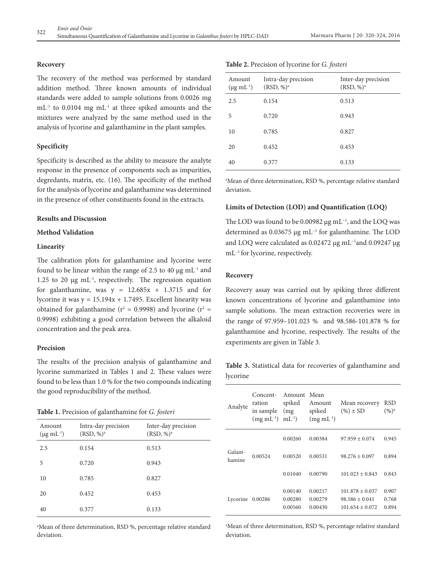### **Recovery**

The recovery of the method was performed by standard addition method. Three known amounts of individual standards were added to sample solutions from 0.0026 mg mL-1 to 0.0104 mg mL-1 at three spiked amounts and the mixtures were analyzed by the same method used in the analysis of lycorine and galanthamine in the plant samples.

# **Specificity**

Specificity is described as the ability to measure the analyte response in the presence of components such as impurities, degredants, matrix, etc. (16). The specificity of the method for the analysis of lycorine and galanthamine was determined in the presence of other constituents found in the extracts.

### **Results and Discussion**

# **Method Validation**

### **Linearity**

The calibration plots for galanthamine and lycorine were found to be linear within the range of 2.5 to 40  $\mu$ g mL<sup>-1</sup> and 1.25 to 20  $\mu$ g mL<sup>-1</sup>, respectively. The regression equation for galanthamine, was  $y = 12.685x + 1.3715$  and for lycorine it was  $y = 15.194x + 1.7495$ . Excellent linearity was obtained for galanthamine ( $r^2 = 0.9998$ ) and lycorine ( $r^2 =$ 0.9998) exhibiting a good correlation between the alkaloid concentration and the peak area.

### **Precision**

The results of the precision analysis of galanthamine and lycorine summarized in Tables 1 and 2. These values were found to be less than 1.0 % for the two compounds indicating the good reproducibility of the method.

**Table 1.** Precision of galanthamine for *G. fosteri*

| Amount<br>$(\mu g \, mL^{-1})$ | Intra-day precision<br>$(RSD, %)^a$ | Inter-day precision<br>$(RSD, %)^a$ |
|--------------------------------|-------------------------------------|-------------------------------------|
| 2.5                            | 0.154                               | 0.513                               |
| 5                              | 0.720                               | 0.943                               |
| 10                             | 0.785                               | 0.827                               |
| 20                             | 0.452                               | 0.453                               |
| 40                             | 0.377                               | 0.133                               |

a Mean of three determination, RSD %, percentage relative standard deviation.

| Amount<br>$(\mu g \, mL^{-1})$ | Intra-day precision<br>$(RSD, %)^a$ | Inter-day precision<br>$(RSD, %)^a$ |
|--------------------------------|-------------------------------------|-------------------------------------|
| 2.5                            | 0.154                               | 0.513                               |
| 5                              | 0.720                               | 0.943                               |
| 10                             | 0.785                               | 0.827                               |
| 20                             | 0.452                               | 0.453                               |
| 40                             | 0.377                               | 0.133                               |

a Mean of three determination, RSD %, percentage relative standard deviation.

# **Limits of Detection (LOD) and Quantification (LOQ)**

The LOD was found to be 0.00982 μg mL<sup>-1</sup>, and the LOQ was determined as 0.03675 μg mL−1 for galanthamine. The LOD and LOQ were calculated as 0.02472 μg mL−1and 0.09247 μg mL<sup>-1</sup> for lycorine, respectively.

### **Recovery**

Recovery assay was carried out by spiking three different known concentrations of lycorine and galanthamine into sample solutions. The mean extraction recoveries were in the range of 97.959–101.023 % and 98.586-101.878 % for galanthamine and lycorine, respectively. The results of the experiments are given in Table 3.

**Table 3.** Statistical data for recoveries of galanthamine and lycorine

| Analyte           | Concent-<br>ration<br>in sample<br>$(mg \text{ mL}^{-1})$ | Amount<br>spiked<br>(mg)<br>$mL^{-1}$ | Mean<br>Amount<br>spiked<br>$(mg \text{ mL}^{-1})$ | Mean recovery<br>$(\%)\pm SD$                                  | RSD<br>$(%)^a$          |
|-------------------|-----------------------------------------------------------|---------------------------------------|----------------------------------------------------|----------------------------------------------------------------|-------------------------|
|                   |                                                           | 0.00260                               | 0.00384                                            | $97.959 + 0.074$                                               | 0.945                   |
| Galant-<br>hamine | 0.00524                                                   | 0.00520                               | 0.00531                                            | $98.276 \pm 0.097$                                             | 0.894                   |
|                   |                                                           | 0.01040                               | 0.00790                                            | $101.023 + 0.843$                                              | 0.843                   |
| Lycorine          | 0.00286                                                   | 0.00140<br>0.00280<br>0.00560         | 0.00217<br>0.00279<br>0.00430                      | $101.878 + 0.037$<br>$98.586 \pm 0.041$<br>$101.654 \pm 0.072$ | 0.907<br>0.768<br>0.894 |

a Mean of three determination, RSD %, percentage relative standard deviation.

|  | Table 2. Precision of lycorine for G. fosteri |
|--|-----------------------------------------------|
|  |                                               |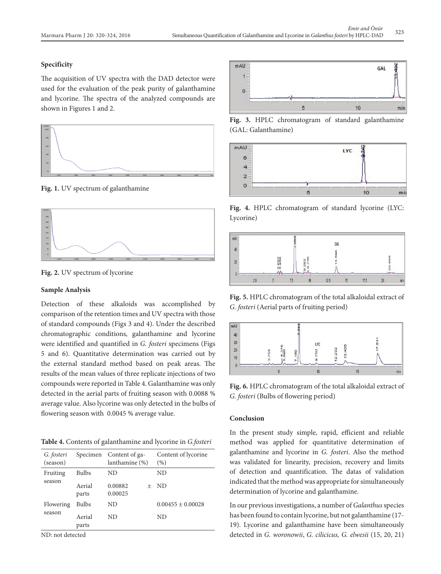## **Specificity**

The acquisition of UV spectra with the DAD detector were used for the evaluation of the peak purity of galanthamine and lycorine. The spectra of the analyzed compounds are shown in Figures 1 and 2.



**Fig. 1.** UV spectrum of galanthamine



**Fig. 2.** UV spectrum of lycorine

### **Sample Analysis**

Detection of these alkaloids was accomplished by comparison of the retention times and UV spectra with those of standard compounds (Figs 3 and 4). Under the described chromatographic conditions, galanthamine and lycorine were identified and quantified in *G. fosteri* specimens (Figs 5 and 6). Quantitative determination was carried out by the external standard method based on peak areas. The results of the mean values of three replicate injections of two compounds were reported in Table 4. Galanthamine was only detected in the aerial parts of fruiting season with 0.0088 % average value. Also lycorine was only detected in the bulbs of flowering season with 0.0045 % average value.

**Table 4.** Contents of galanthamine and lycorine in *G.fosteri*

| G. fosteri<br>(season) | Specimen        | Content of ga-<br>lanthamine (%) | Content of lycorine<br>(%) |
|------------------------|-----------------|----------------------------------|----------------------------|
| Fruiting               | <b>Bulbs</b>    | ND                               | ND                         |
| season                 | Aerial<br>parts | 0.00882<br>$^{+}$<br>0.00025     | -ND                        |
| Flowering<br>season    | Bulbs           | ND                               | $0.00455 \pm 0.00028$      |
|                        | Aerial<br>parts | ND                               | ND                         |

ND: not detected



**Fig. 3.** HPLC chromatogram of standard galanthamine (GAL: Galanthamine)



**Fig. 4.** HPLC chromatogram of standard lycorine (LYC: Lycorine)



**Fig. 5.** HPLC chromatogram of the total alkaloidal extract of *G. fosteri* (Aerial parts of fruiting period)



**Fig. 6.** HPLC chromatogram of the total alkaloidal extract of *G. fosteri* (Bulbs of flowering period)

### **Conclusion**

In the present study simple, rapid, efficient and reliable method was applied for quantitative determination of galanthamine and lycorine in *G. fosteri*. Also the method was validated for linearity, precision, recovery and limits of detection and quantification. The datas of validation indicated that the method was appropriate for simultaneously determination of lycorine and galanthamine.

In our previous investigations, a number of *Galanthus* species has been found to contain lycorine, but not galanthamine (17- 19). Lycorine and galanthamine have been simultaneously detected in *G. woronowii*, *G. cilicicus, G. elwesii* (15, 20, 21)